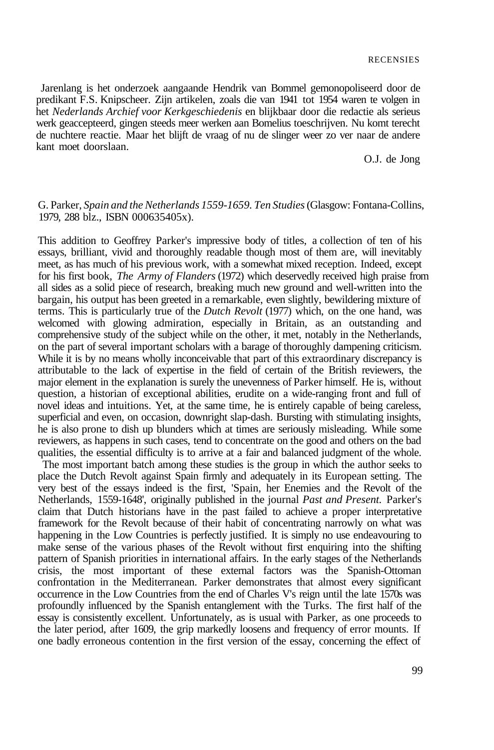Jarenlang is het onderzoek aangaande Hendrik van Bommel gemonopoliseerd door de predikant F.S. Knipscheer. Zijn artikelen, zoals die van 1941 tot 1954 waren te volgen in het *Nederlands Archief voor Kerkgeschiedenis* en blijkbaar door die redactie als serieus werk geaccepteerd, gingen steeds meer werken aan Bomelius toeschrijven. Nu komt terecht de nuchtere reactie. Maar het blijft de vraag of nu de slinger weer zo ver naar de andere kant moet doorslaan.

O.J. de Jong

## G. Parker, *Spain and the Netherlands 1559-1659. Ten Studies* (Glasgow: Fontana-Collins, 1979, 288 blz., ISBN 000635405x).

This addition to Geoffrey Parker's impressive body of titles, a collection of ten of his essays, brilliant, vivid and thoroughly readable though most of them are, will inevitably meet, as has much of his previous work, with a somewhat mixed reception. Indeed, except for his first book, *The Army of Flanders* (1972) which deservedly received high praise from all sides as a solid piece of research, breaking much new ground and well-written into the bargain, his output has been greeted in a remarkable, even slightly, bewildering mixture of terms. This is particularly true of the *Dutch Revolt* (1977) which, on the one hand, was welcomed with glowing admiration, especially in Britain, as an outstanding and comprehensive study of the subject while on the other, it met, notably in the Netherlands, on the part of several important scholars with a barage of thoroughly dampening criticism. While it is by no means wholly inconceivable that part of this extraordinary discrepancy is attributable to the lack of expertise in the field of certain of the British reviewers, the major element in the explanation is surely the unevenness of Parker himself. He is, without question, a historian of exceptional abilities, erudite on a wide-ranging front and full of novel ideas and intuitions. Yet, at the same time, he is entirely capable of being careless, superficial and even, on occasion, downright slap-dash. Bursting with stimulating insights, he is also prone to dish up blunders which at times are seriously misleading. While some reviewers, as happens in such cases, tend to concentrate on the good and others on the bad qualities, the essential difficulty is to arrive at a fair and balanced judgment of the whole.

The most important batch among these studies is the group in which the author seeks to place the Dutch Revolt against Spain firmly and adequately in its European setting. The very best of the essays indeed is the first, 'Spain, her Enemies and the Revolt of the Netherlands, 1559-1648', originally published in the journal *Past and Present.* Parker's claim that Dutch historians have in the past failed to achieve a proper interpretative framework for the Revolt because of their habit of concentrating narrowly on what was happening in the Low Countries is perfectly justified. It is simply no use endeavouring to make sense of the various phases of the Revolt without first enquiring into the shifting pattern of Spanish priorities in international affairs. In the early stages of the Netherlands crisis, the most important of these external factors was the Spanish-Ottoman confrontation in the Mediterranean. Parker demonstrates that almost every significant occurrence in the Low Countries from the end of Charles V's reign until the late 1570s was profoundly influenced by the Spanish entanglement with the Turks. The first half of the essay is consistently excellent. Unfortunately, as is usual with Parker, as one proceeds to the later period, after 1609, the grip markedly loosens and frequency of error mounts. If one badly erroneous contention in the first version of the essay, concerning the effect of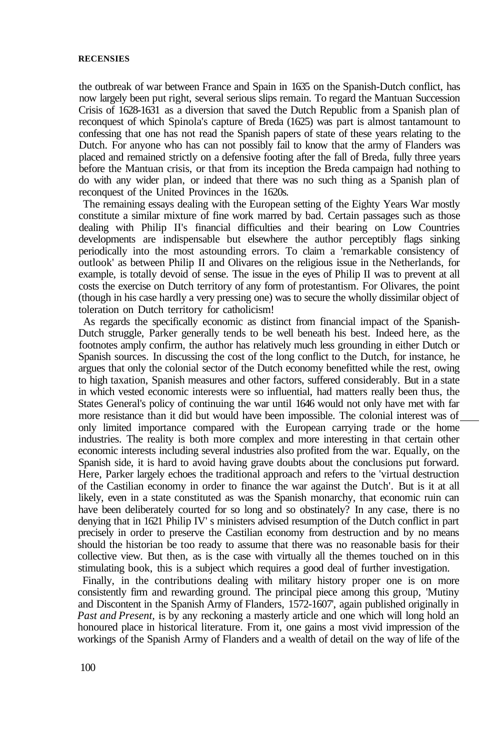## **RECENSIES**

the outbreak of war between France and Spain in 1635 on the Spanish-Dutch conflict, has now largely been put right, several serious slips remain. To regard the Mantuan Succession Crisis of 1628-1631 as a diversion that saved the Dutch Republic from a Spanish plan of reconquest of which Spinola's capture of Breda (1625) was part is almost tantamount to confessing that one has not read the Spanish papers of state of these years relating to the Dutch. For anyone who has can not possibly fail to know that the army of Flanders was placed and remained strictly on a defensive footing after the fall of Breda, fully three years before the Mantuan crisis, or that from its inception the Breda campaign had nothing to do with any wider plan, or indeed that there was no such thing as a Spanish plan of reconquest of the United Provinces in the 1620s.

The remaining essays dealing with the European setting of the Eighty Years War mostly constitute a similar mixture of fine work marred by bad. Certain passages such as those dealing with Philip II's financial difficulties and their bearing on Low Countries developments are indispensable but elsewhere the author perceptibly flags sinking periodically into the most astounding errors. To claim a 'remarkable consistency of outlook' as between Philip II and Olivares on the religious issue in the Netherlands, for example, is totally devoid of sense. The issue in the eyes of Philip II was to prevent at all costs the exercise on Dutch territory of any form of protestantism. For Olivares, the point (though in his case hardly a very pressing one) was to secure the wholly dissimilar object of toleration on Dutch territory for catholicism!

As regards the specifically economic as distinct from financial impact of the Spanish-Dutch struggle, Parker generally tends to be well beneath his best. Indeed here, as the footnotes amply confirm, the author has relatively much less grounding in either Dutch or Spanish sources. In discussing the cost of the long conflict to the Dutch, for instance, he argues that only the colonial sector of the Dutch economy benefitted while the rest, owing to high taxation, Spanish measures and other factors, suffered considerably. But in a state in which vested economic interests were so influential, had matters really been thus, the States General's policy of continuing the war until 1646 would not only have met with far more resistance than it did but would have been impossible. The colonial interest was of only limited importance compared with the European carrying trade or the home industries. The reality is both more complex and more interesting in that certain other economic interests including several industries also profited from the war. Equally, on the Spanish side, it is hard to avoid having grave doubts about the conclusions put forward. Here, Parker largely echoes the traditional approach and refers to the 'virtual destruction of the Castilian economy in order to finance the war against the Dutch'. But is it at all likely, even in a state constituted as was the Spanish monarchy, that economic ruin can have been deliberately courted for so long and so obstinately? In any case, there is no denying that in 1621 Philip IV' s ministers advised resumption of the Dutch conflict in part precisely in order to preserve the Castilian economy from destruction and by no means should the historian be too ready to assume that there was no reasonable basis for their collective view. But then, as is the case with virtually all the themes touched on in this stimulating book, this is a subject which requires a good deal of further investigation.

Finally, in the contributions dealing with military history proper one is on more consistently firm and rewarding ground. The principal piece among this group, 'Mutiny and Discontent in the Spanish Army of Flanders, 1572-1607', again published originally in *Past and Present,* is by any reckoning a masterly article and one which will long hold an honoured place in historical literature. From it, one gains a most vivid impression of the workings of the Spanish Army of Flanders and a wealth of detail on the way of life of the